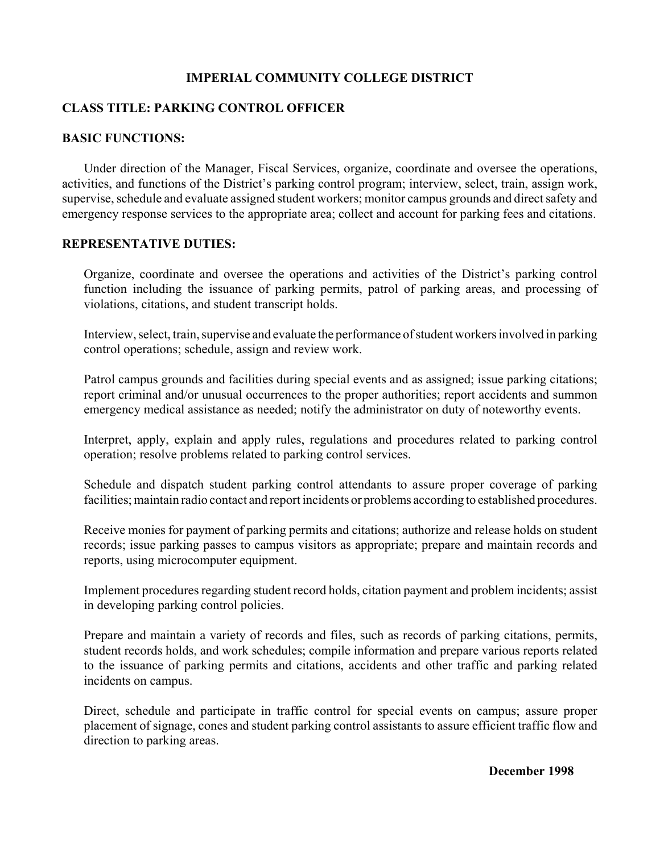### **IMPERIAL COMMUNITY COLLEGE DISTRICT**

### **CLASS TITLE: PARKING CONTROL OFFICER**

#### **BASIC FUNCTIONS:**

Under direction of the Manager, Fiscal Services, organize, coordinate and oversee the operations, activities, and functions of the District's parking control program; interview, select, train, assign work, supervise, schedule and evaluate assigned student workers; monitor campus grounds and direct safety and emergency response services to the appropriate area; collect and account for parking fees and citations.

### **REPRESENTATIVE DUTIES:**

Organize, coordinate and oversee the operations and activities of the District's parking control function including the issuance of parking permits, patrol of parking areas, and processing of violations, citations, and student transcript holds.

Interview, select, train, supervise and evaluate the performance of student workers involved in parking control operations; schedule, assign and review work.

Patrol campus grounds and facilities during special events and as assigned; issue parking citations; report criminal and/or unusual occurrences to the proper authorities; report accidents and summon emergency medical assistance as needed; notify the administrator on duty of noteworthy events.

Interpret, apply, explain and apply rules, regulations and procedures related to parking control operation; resolve problems related to parking control services.

Schedule and dispatch student parking control attendants to assure proper coverage of parking facilities; maintain radio contact and report incidents or problems according to established procedures.

Receive monies for payment of parking permits and citations; authorize and release holds on student records; issue parking passes to campus visitors as appropriate; prepare and maintain records and reports, using microcomputer equipment.

Implement procedures regarding student record holds, citation payment and problem incidents; assist in developing parking control policies.

Prepare and maintain a variety of records and files, such as records of parking citations, permits, student records holds, and work schedules; compile information and prepare various reports related to the issuance of parking permits and citations, accidents and other traffic and parking related incidents on campus.

Direct, schedule and participate in traffic control for special events on campus; assure proper placement of signage, cones and student parking control assistants to assure efficient traffic flow and direction to parking areas.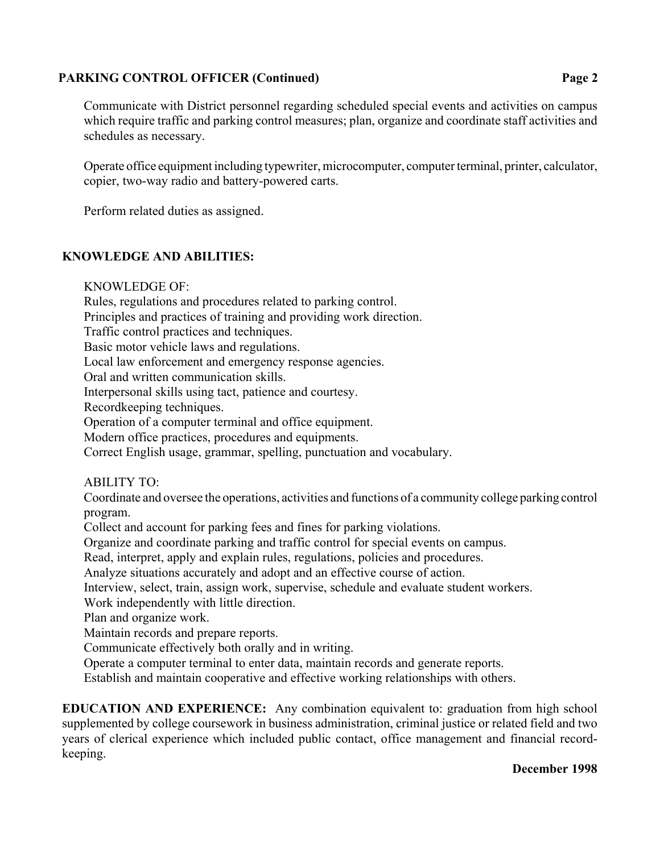## PARKING CONTROL OFFICER (Continued) Page 2

Communicate with District personnel regarding scheduled special events and activities on campus which require traffic and parking control measures; plan, organize and coordinate staff activities and schedules as necessary.

Operate office equipment including typewriter, microcomputer, computer terminal, printer, calculator, copier, two-way radio and battery-powered carts.

Perform related duties as assigned.

## **KNOWLEDGE AND ABILITIES:**

KNOWLEDGE OF:

Rules, regulations and procedures related to parking control.

Principles and practices of training and providing work direction.

Traffic control practices and techniques.

Basic motor vehicle laws and regulations.

Local law enforcement and emergency response agencies.

Oral and written communication skills.

Interpersonal skills using tact, patience and courtesy.

Recordkeeping techniques.

Operation of a computer terminal and office equipment.

Modern office practices, procedures and equipments.

Correct English usage, grammar, spelling, punctuation and vocabulary.

# ABILITY TO:

Coordinate and oversee the operations, activities and functions of a community college parking control program.

Collect and account for parking fees and fines for parking violations.

Organize and coordinate parking and traffic control for special events on campus.

Read, interpret, apply and explain rules, regulations, policies and procedures.

Analyze situations accurately and adopt and an effective course of action.

Interview, select, train, assign work, supervise, schedule and evaluate student workers.

Work independently with little direction.

Plan and organize work.

Maintain records and prepare reports.

Communicate effectively both orally and in writing.

Operate a computer terminal to enter data, maintain records and generate reports.

Establish and maintain cooperative and effective working relationships with others.

**EDUCATION AND EXPERIENCE:** Any combination equivalent to: graduation from high school supplemented by college coursework in business administration, criminal justice or related field and two years of clerical experience which included public contact, office management and financial recordkeeping.